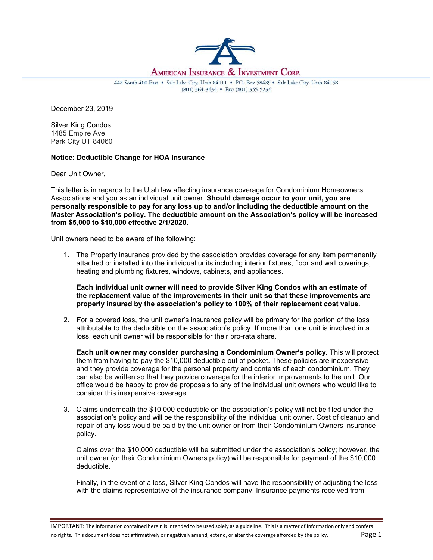

448 South 400 East . Salt Lake City, Utah 84111 . P.O. Box 58489 . Salt Lake City, Utah 84158 (801) 364-3434 · Fax: (801) 355-5234

December 23, 2019

Silver King Condos 1485 Empire Ave Park City UT 84060

## **Notice: Deductible Change for HOA Insurance**

Dear Unit Owner,

This letter is in regards to the Utah law affecting insurance coverage for Condominium Homeowners Associations and you as an individual unit owner. **Should damage occur to your unit, you are personally responsible to pay for any loss up to and/or including the deductible amount on the Master Association's policy. The deductible amount on the Association's policy will be increased from \$5,000 to \$10,000 effective 2/1/2020.**

Unit owners need to be aware of the following:

1. The Property insurance provided by the association provides coverage for any item permanently attached or installed into the individual units including interior fixtures, floor and wall coverings, heating and plumbing fixtures, windows, cabinets, and appliances.

**Each individual unit owner will need to provide Silver King Condos with an estimate of the replacement value of the improvements in their unit so that these improvements are properly insured by the association's policy to 100% of their replacement cost value.**

2. For a covered loss, the unit owner's insurance policy will be primary for the portion of the loss attributable to the deductible on the association's policy. If more than one unit is involved in a loss, each unit owner will be responsible for their pro-rata share.

**Each unit owner may consider purchasing a Condominium Owner's policy.** This will protect them from having to pay the \$10,000 deductible out of pocket. These policies are inexpensive and they provide coverage for the personal property and contents of each condominium. They can also be written so that they provide coverage for the interior improvements to the unit. Our office would be happy to provide proposals to any of the individual unit owners who would like to consider this inexpensive coverage.

3. Claims underneath the \$10,000 deductible on the association's policy will not be filed under the association's policy and will be the responsibility of the individual unit owner. Cost of cleanup and repair of any loss would be paid by the unit owner or from their Condominium Owners insurance policy.

Claims over the \$10,000 deductible will be submitted under the association's policy; however, the unit owner (or their Condominium Owners policy) will be responsible for payment of the \$10,000 deductible.

Finally, in the event of a loss, Silver King Condos will have the responsibility of adjusting the loss with the claims representative of the insurance company. Insurance payments received from